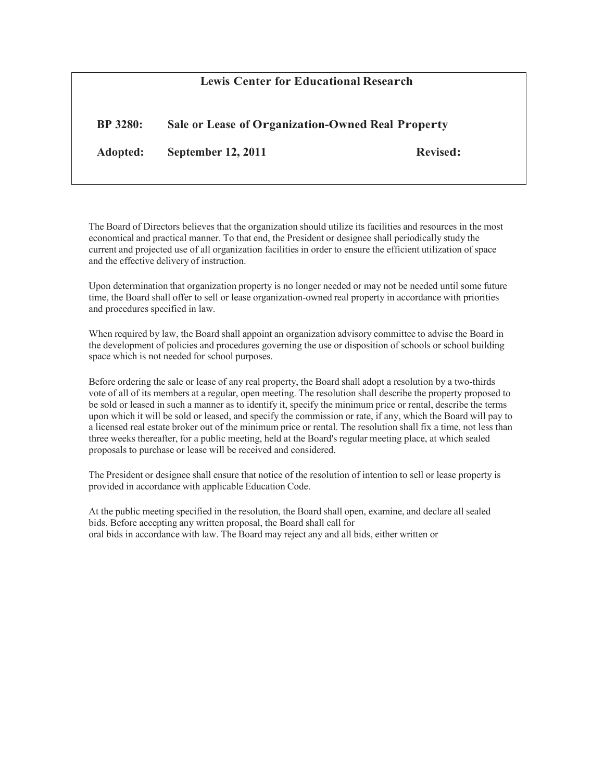| <b>Lewis Center for Educational Research</b> |                                                   |                 |
|----------------------------------------------|---------------------------------------------------|-----------------|
| <b>BP</b> 3280:                              | Sale or Lease of Organization-Owned Real Property |                 |
| Adopted:                                     | <b>September 12, 2011</b>                         | <b>Revised:</b> |

The Board of Directors believes that the organization should utilize its facilities and resources in the most economical and practical manner. To that end, the President or designee shall periodically study the current and projected use of all organization facilities in order to ensure the efficient utilization of space and the effective delivery of instruction.

Upon determination that organization property is no longer needed or may not be needed until some future time, the Board shall offer to sell or lease organization-owned real property in accordance with priorities and procedures specified in law.

When required by law, the Board shall appoint an organization advisory committee to advise the Board in the development of policies and procedures governing the use or disposition of schools or school building space which is not needed for school purposes.

Before ordering the sale or lease of any real property, the Board shall adopt a resolution by a two-thirds vote of all of its members at a regular, open meeting. The resolution shall describe the property proposed to be sold or leased in such a manner as to identify it, specify the minimum price or rental, describe the terms upon which it will be sold or leased, and specify the commission or rate, if any, which the Board will pay to a licensed real estate broker out of the minimum price or rental. The resolution shall fix a time, not less than three weeks thereafter, for a public meeting, held at the Board's regular meeting place, at which sealed proposals to purchase or lease will be received and considered.

The President or designee shall ensure that notice of the resolution of intention to sell or lease property is provided in accordance with applicable Education Code.

At the public meeting specified in the resolution, the Board shall open, examine, and declare all sealed bids. Before accepting any written proposal, the Board shall call for oral bids in accordance with law. The Board may reject any and all bids, either written or